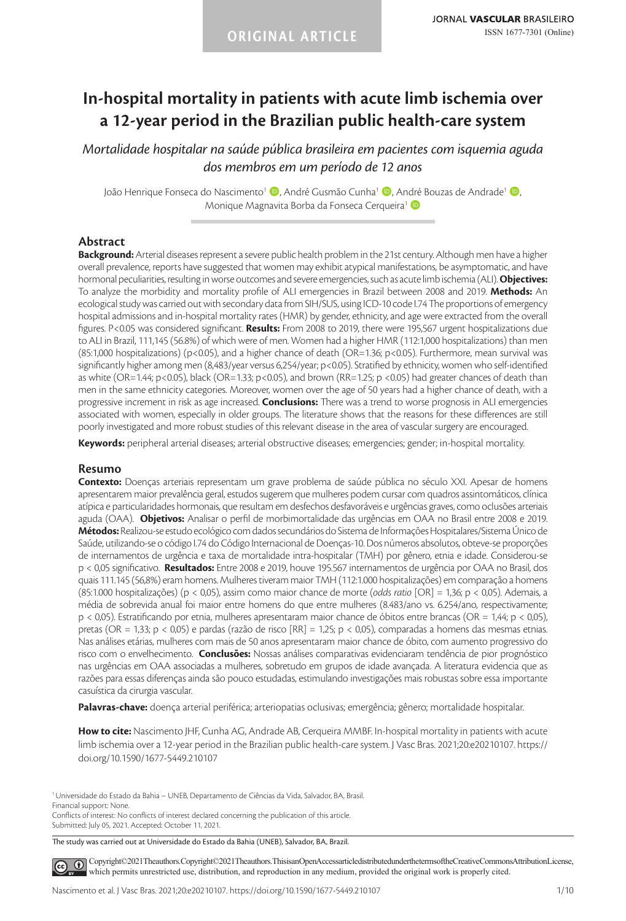# **In-hospital mortality in patients with acute limb ischemia over a 12-year period in the Brazilian public health-care system**

*Mortalidade hospitalar na saúde pública brasileira em pacientes com isquemia aguda dos membros em um período de 12 anos*

João Henrique Fonseca do Nascimento<sup>1</sup> (D. André Gusmão Cunha<sup>1</sup> (D. André Bouzas de Andrade<sup>1</sup> (D. Monique Magnavita Borba da Fonseca Cerqueira<sup>1</sup>

#### **Abstract**

**Background:** Arterial diseases represent a severe public health problem in the 21st century. Although men have a higher overall prevalence, reports have suggested that women may exhibit atypical manifestations, be asymptomatic, and have hormonal peculiarities, resulting in worse outcomes and severe emergencies, such as acute limb ischemia (ALI). **Objectives:** To analyze the morbidity and mortality profile of ALI emergencies in Brazil between 2008 and 2019. **Methods:** An ecological study was carried out with secondary data from SIH/SUS, using ICD-10 code I.74 The proportions of emergency hospital admissions and in-hospital mortality rates (HMR) by gender, ethnicity, and age were extracted from the overall figures. P<0.05 was considered significant. **Results:** From 2008 to 2019, there were 195,567 urgent hospitalizations due to ALI in Brazil, 111,145 (56.8%) of which were of men. Women had a higher HMR (112:1,000 hospitalizations) than men (85:1,000 hospitalizations) ( $p<0.05$ ), and a higher chance of death (OR=1.36;  $p<0.05$ ). Furthermore, mean survival was significantly higher among men (8,483/year versus 6,254/year; p<0.05). Stratified by ethnicity, women who self-identified as white (OR=1.44; p<0.05), black (OR=1.33; p<0.05), and brown (RR=1.25; p <0.05) had greater chances of death than men in the same ethnicity categories. Moreover, women over the age of 50 years had a higher chance of death, with a progressive increment in risk as age increased. **Conclusions:** There was a trend to worse prognosis in ALI emergencies associated with women, especially in older groups. The literature shows that the reasons for these differences are still poorly investigated and more robust studies of this relevant disease in the area of vascular surgery are encouraged.

**Keywords:** peripheral arterial diseases; arterial obstructive diseases; emergencies; gender; in-hospital mortality.

#### **Resumo**

**Contexto:** Doenças arteriais representam um grave problema de saúde pública no século XXI. Apesar de homens apresentarem maior prevalência geral, estudos sugerem que mulheres podem cursar com quadros assintomáticos, clínica atípica e particularidades hormonais, que resultam em desfechos desfavoráveis e urgências graves, como oclusões arteriais aguda (OAA). **Objetivos:** Analisar o perfil de morbimortalidade das urgências em OAA no Brasil entre 2008 e 2019. **Métodos:** Realizou-se estudo ecológico com dados secundários do Sistema de Informações Hospitalares/Sistema Único de Saúde, utilizando-se o código I.74 do Código Internacional de Doenças-10. Dos números absolutos, obteve-se proporções de internamentos de urgência e taxa de mortalidade intra-hospitalar (TMH) por gênero, etnia e idade. Considerou-se p < 0,05 significativo. **Resultados:** Entre 2008 e 2019, houve 195.567 internamentos de urgência por OAA no Brasil, dos quais 111.145 (56,8%) eram homens. Mulheres tiveram maior TMH (112:1.000 hospitalizações) em comparação a homens (85:1.000 hospitalizações) (p < 0,05), assim como maior chance de morte (*odds ratio* [OR] = 1,36; p < 0,05). Ademais, a média de sobrevida anual foi maior entre homens do que entre mulheres (8.483/ano vs. 6.254/ano, respectivamente; p < 0,05). Estratificando por etnia, mulheres apresentaram maior chance de óbitos entre brancas (OR = 1,44; p < 0,05), pretas (OR = 1,33; p < 0,05) e pardas (razão de risco [RR] = 1,25; p < 0,05), comparadas a homens das mesmas etnias. Nas análises etárias, mulheres com mais de 50 anos apresentaram maior chance de óbito, com aumento progressivo do risco com o envelhecimento. **Conclusões:** Nossas análises comparativas evidenciaram tendência de pior prognóstico nas urgências em OAA associadas a mulheres, sobretudo em grupos de idade avançada. A literatura evidencia que as razões para essas diferenças ainda são pouco estudadas, estimulando investigações mais robustas sobre essa importante casuística da cirurgia vascular.

**Palavras-chave:** doença arterial periférica; arteriopatias oclusivas; emergência; gênero; mortalidade hospitalar.

**How to cite:** Nascimento JHF, Cunha AG, Andrade AB, Cerqueira MMBF. In-hospital mortality in patients with acute limb ischemia over a 12-year period in the Brazilian public health-care system. J Vasc Bras. 2021;20:e20210107. https:// doi.org/10.1590/1677-5449.210107

1Universidade do Estado da Bahia – UNEB, Departamento de Ciências da Vida, Salvador, BA, Brasil. Financial support: None. Conflicts of interest: No conflicts of interest declared concerning the publication of this article.

Submitted: July 05, 2021. Accepted: October 11, 2021.

The study was carried out at Universidade do Estado da Bahia (UNEB), Salvador, BA, Brazil.

[C](https://creativecommons.org/licenses/by/4.0/)opyright©2021The authors. Copyright©2021The authors. This is an Open Access article distributed under the terms of the Creative Commons Attribution License,  $\left( \mathbf{c}\right)$ which permits unrestricted use, distribution, and reproduction in any medium, provided the original work is properly cited.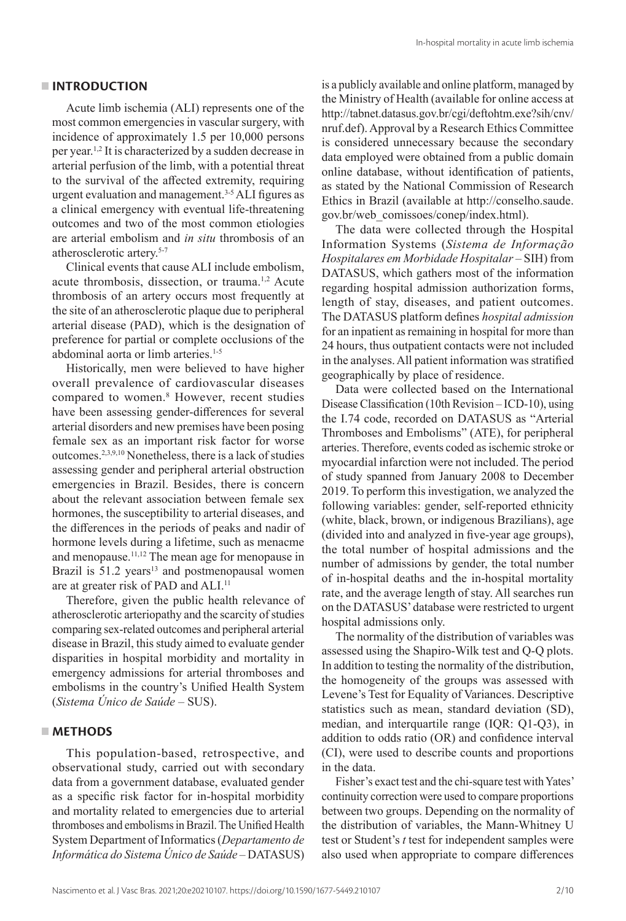#### **INTRODUCTION**

Acute limb ischemia (ALI) represents one of the most common emergencies in vascular surgery, with incidence of approximately 1.5 per 10,000 persons per year.<sup>1,2</sup> It is characterized by a sudden decrease in arterial perfusion of the limb, with a potential threat to the survival of the affected extremity, requiring urgent evaluation and management.3-5 ALI figures as a clinical emergency with eventual life-threatening outcomes and two of the most common etiologies are arterial embolism and *in situ* thrombosis of an atherosclerotic artery.5-7

Clinical events that cause ALI include embolism, acute thrombosis, dissection, or trauma.<sup>1,2</sup> Acute thrombosis of an artery occurs most frequently at the site of an atherosclerotic plaque due to peripheral arterial disease (PAD), which is the designation of preference for partial or complete occlusions of the abdominal aorta or limb arteries.<sup>1-5</sup>

Historically, men were believed to have higher overall prevalence of cardiovascular diseases compared to women.8 However, recent studies have been assessing gender-differences for several arterial disorders and new premises have been posing female sex as an important risk factor for worse outcomes.2,3,9,10 Nonetheless, there is a lack of studies assessing gender and peripheral arterial obstruction emergencies in Brazil. Besides, there is concern about the relevant association between female sex hormones, the susceptibility to arterial diseases, and the differences in the periods of peaks and nadir of hormone levels during a lifetime, such as menacme and menopause.<sup>11,12</sup> The mean age for menopause in Brazil is 51.2 years<sup>13</sup> and postmenopausal women are at greater risk of PAD and ALI.<sup>11</sup>

Therefore, given the public health relevance of atherosclerotic arteriopathy and the scarcity of studies comparing sex-related outcomes and peripheral arterial disease in Brazil, this study aimed to evaluate gender disparities in hospital morbidity and mortality in emergency admissions for arterial thromboses and embolisms in the country's Unified Health System (*Sistema Único de Saúde* – SUS).

## **METHODS**

This population-based, retrospective, and observational study, carried out with secondary data from a government database, evaluated gender as a specific risk factor for in-hospital morbidity and mortality related to emergencies due to arterial thromboses and embolisms in Brazil. The Unified Health System Department of Informatics (*Departamento de Informática do Sistema Único de Saúde* – DATASUS) is a publicly available and online platform, managed by the Ministry of Health (available for online access at http://tabnet.datasus.gov.br/cgi/deftohtm.exe?sih/cnv/ nruf.def). Approval by a Research Ethics Committee is considered unnecessary because the secondary data employed were obtained from a public domain online database, without identification of patients, as stated by the National Commission of Research Ethics in Brazil (available at http://conselho.saude. gov.br/web\_comissoes/conep/index.html).

The data were collected through the Hospital Information Systems (*Sistema de Informação Hospitalares em Morbidade Hospitalar* – SIH) from DATASUS, which gathers most of the information regarding hospital admission authorization forms, length of stay, diseases, and patient outcomes. The DATASUS platform defines *hospital admission* for an inpatient as remaining in hospital for more than 24 hours, thus outpatient contacts were not included in the analyses. All patient information was stratified geographically by place of residence.

Data were collected based on the International Disease Classification (10th Revision – ICD-10), using the I.74 code, recorded on DATASUS as "Arterial Thromboses and Embolisms" (ATE), for peripheral arteries. Therefore, events coded as ischemic stroke or myocardial infarction were not included. The period of study spanned from January 2008 to December 2019. To perform this investigation, we analyzed the following variables: gender, self-reported ethnicity (white, black, brown, or indigenous Brazilians), age (divided into and analyzed in five-year age groups), the total number of hospital admissions and the number of admissions by gender, the total number of in-hospital deaths and the in-hospital mortality rate, and the average length of stay. All searches run on the DATASUS' database were restricted to urgent hospital admissions only.

The normality of the distribution of variables was assessed using the Shapiro-Wilk test and Q-Q plots. In addition to testing the normality of the distribution, the homogeneity of the groups was assessed with Levene's Test for Equality of Variances. Descriptive statistics such as mean, standard deviation (SD), median, and interquartile range (IQR: Q1-Q3), in addition to odds ratio (OR) and confidence interval (CI), were used to describe counts and proportions in the data.

Fisher's exact test and the chi-square test with Yates' continuity correction were used to compare proportions between two groups. Depending on the normality of the distribution of variables, the Mann-Whitney U test or Student's *t* test for independent samples were also used when appropriate to compare differences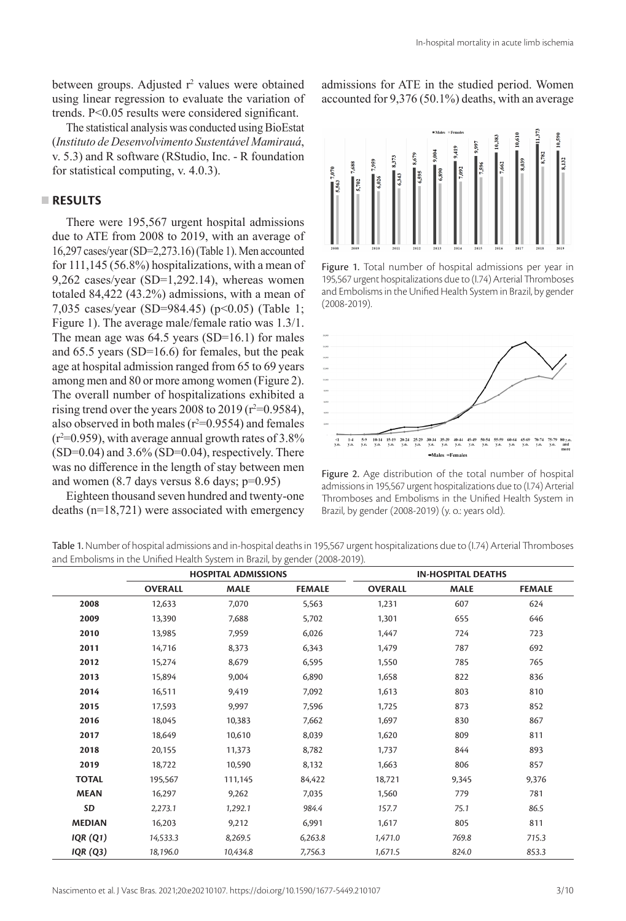between groups. Adjusted r<sup>2</sup> values were obtained using linear regression to evaluate the variation of trends. P<0.05 results were considered significant.

The statistical analysis was conducted using BioEstat (*Instituto de Desenvolvimento Sustentável Mamirauá*, v. 5.3) and R software (RStudio, Inc. - R foundation for statistical computing, v. 4.0.3).

### **RESULTS**

There were 195,567 urgent hospital admissions due to ATE from 2008 to 2019, with an average of 16,297 cases/year (SD=2,273.16) (Table 1). Men accounted for 111,145 (56.8%) hospitalizations, with a mean of 9,262 cases/year (SD=1,292.14), whereas women totaled 84,422 (43.2%) admissions, with a mean of 7,035 cases/year (SD=984.45) (p<0.05) (Table 1; Figure 1). The average male/female ratio was 1.3/1. The mean age was  $64.5$  years  $(SD=16.1)$  for males and 65.5 years (SD=16.6) for females, but the peak age at hospital admission ranged from 65 to 69 years among men and 80 or more among women (Figure 2). The overall number of hospitalizations exhibited a rising trend over the years 2008 to 2019 ( $r^2$ =0.9584), also observed in both males ( $r^2=0.9554$ ) and females  $(r^2=0.959)$ , with average annual growth rates of 3.8%  $(SD=0.04)$  and  $3.6\%$   $(SD=0.04)$ , respectively. There was no difference in the length of stay between men and women  $(8.7$  days versus  $8.6$  days;  $p=0.95$ )

Eighteen thousand seven hundred and twenty-one deaths (n=18,721) were associated with emergency admissions for ATE in the studied period. Women accounted for 9,376 (50.1%) deaths, with an average



Figure 1. Total number of hospital admissions per year in 195,567 urgent hospitalizations due to (I.74) Arterial Thromboses and Embolisms in the Unified Health System in Brazil, by gender (2008-2019).



Figure 2. Age distribution of the total number of hospital admissions in 195,567 urgent hospitalizations due to (I.74) Arterial Thromboses and Embolisms in the Unified Health System in Brazil, by gender (2008-2019) (y. o.: years old).

Table 1. Number of hospital admissions and in-hospital deaths in 195,567 urgent hospitalizations due to (I.74) Arterial Thromboses and Embolisms in the Unified Health System in Brazil, by gender (2008-2019).

|                 |                | <b>HOSPITAL ADMISSIONS</b> |               | <b>IN-HOSPITAL DEATHS</b> |             |               |  |  |
|-----------------|----------------|----------------------------|---------------|---------------------------|-------------|---------------|--|--|
|                 | <b>OVERALL</b> | <b>MALE</b>                | <b>FEMALE</b> | <b>OVERALL</b>            | <b>MALE</b> | <b>FEMALE</b> |  |  |
| 2008            | 12,633         | 7.070                      | 5,563         | 1,231                     | 607         | 624           |  |  |
| 2009            | 13,390         | 7,688                      | 5,702         | 1,301                     | 655         | 646           |  |  |
| 2010            | 13.985         | 7,959                      | 6,026         | 1.447                     | 724         | 723           |  |  |
| 2011            | 14,716         | 8,373                      | 6,343         | 1,479                     | 787         | 692           |  |  |
| 2012            | 15,274         | 8,679                      | 6,595         | 1,550                     | 785         | 765           |  |  |
| 2013            | 15,894         | 9,004                      | 6,890         | 1,658                     | 822         | 836           |  |  |
| 2014            | 16,511         | 9,419                      | 7,092         | 1,613                     | 803         | 810           |  |  |
| 2015            | 17,593         | 9,997                      | 7,596         | 1,725                     | 873         | 852           |  |  |
| 2016            | 18.045         | 10,383                     | 7.662         | 1,697                     | 830         | 867           |  |  |
| 2017            | 18,649         | 10,610                     | 8,039         | 1,620                     | 809         | 811           |  |  |
| 2018            | 20,155         | 11,373                     | 8,782         | 1,737                     | 844         | 893           |  |  |
| 2019            | 18,722         | 10,590                     | 8,132         | 1,663                     | 806         | 857           |  |  |
| <b>TOTAL</b>    | 195,567        | 111,145                    | 84,422        | 18,721                    | 9,345       | 9,376         |  |  |
| <b>MEAN</b>     | 16,297         | 9,262                      | 7,035         | 1,560                     | 779         | 781           |  |  |
| SD              | 2,273.1        | 1,292.1                    | 984.4         | 157.7                     | 75.1        | 86.5          |  |  |
| <b>MEDIAN</b>   | 16,203         | 9,212                      | 6,991         | 1,617                     | 805         | 811           |  |  |
| IQR(Q1)         | 14,533.3       | 8,269.5                    | 6,263.8       | 1,471.0                   | 769.8       | 715.3         |  |  |
| <b>IQR (Q3)</b> | 18,196.0       | 10,434.8                   | 7,756.3       | 1,671.5                   | 824.0       | 853.3         |  |  |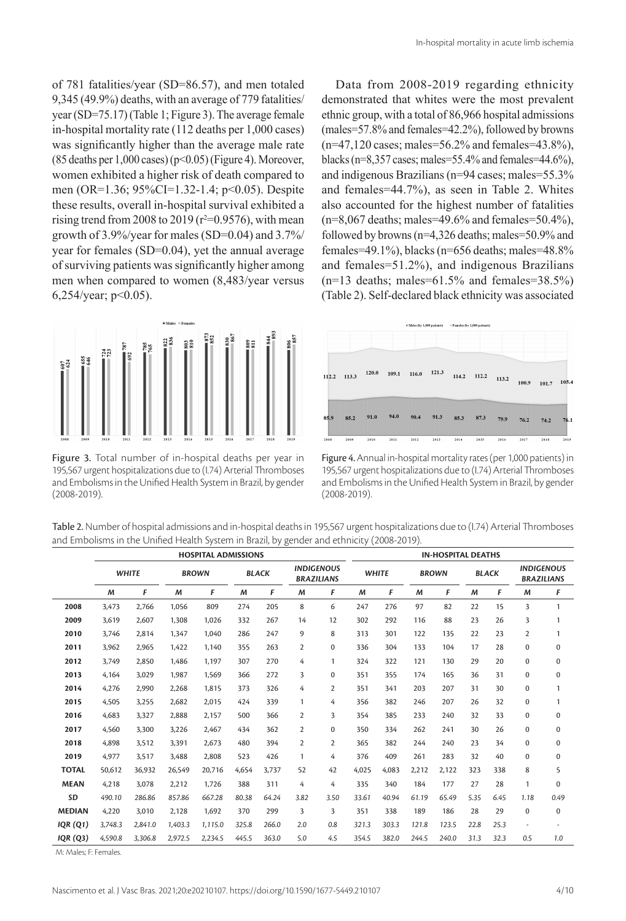of 781 fatalities/year (SD=86.57), and men totaled 9,345 (49.9%) deaths, with an average of 779 fatalities/ year (SD=75.17) (Table 1; Figure 3). The average female in-hospital mortality rate (112 deaths per 1,000 cases) was significantly higher than the average male rate  $(85$  deaths per 1,000 cases) (p<0.05) (Figure 4). Moreover, women exhibited a higher risk of death compared to men (OR=1.36; 95%CI=1.32-1.4; p<0.05). Despite these results, overall in-hospital survival exhibited a rising trend from 2008 to 2019 ( $r^2$ =0.9576), with mean growth of 3.9%/year for males (SD=0.04) and 3.7%/ year for females (SD=0.04), yet the annual average of surviving patients was significantly higher among men when compared to women (8,483/year versus 6,254/year; p<0.05).

Figure 3. Total number of in-hospital deaths per year in 195,567 urgent hospitalizations due to (I.74) Arterial Thromboses and Embolisms in the Unified Health System in Brazil, by gender (2008-2019).

Data from 2008-2019 regarding ethnicity demonstrated that whites were the most prevalent ethnic group, with a total of 86,966 hospital admissions (males=57.8% and females=42.2%), followed by browns  $(n=47,120 \text{ cases}; \text{males}=56.2\% \text{ and females}=43.8\%).$ blacks ( $n=8,357$  cases; males=55.4% and females=44.6%), and indigenous Brazilians (n=94 cases; males=55.3% and females=44.7%), as seen in Table 2. Whites also accounted for the highest number of fatalities  $(n=8,067$  deaths; males=49.6% and females=50.4%), followed by browns (n=4,326 deaths; males=50.9% and females=49.1%), blacks ( $n=656$  deaths; males=48.8% and females=51.2%), and indigenous Brazilians  $(n=13$  deaths; males=61.5% and females=38.5%) (Table 2). Self-declared black ethnicity was associated



Figure 4. Annual in-hospital mortality rates (per 1,000 patients) in 195,567 urgent hospitalizations due to (I.74) Arterial Thromboses and Embolisms in the Unified Health System in Brazil, by gender (2008-2019).

| Table 2. Number of hospital admissions and in-hospital deaths in 195,567 urgent hospitalizations due to (1.74) Arterial Thromboses |
|------------------------------------------------------------------------------------------------------------------------------------|
| and Embolisms in the Unified Health System in Brazil, by gender and ethnicity (2008-2019).                                         |

|                 | <b>HOSPITAL ADMISSIONS</b> |              |         |              |       |              |                | <b>IN-HOSPITAL DEATHS</b>              |              |       |              |       |              |      |                |                                        |
|-----------------|----------------------------|--------------|---------|--------------|-------|--------------|----------------|----------------------------------------|--------------|-------|--------------|-------|--------------|------|----------------|----------------------------------------|
|                 |                            | <b>WHITE</b> |         | <b>BROWN</b> |       | <b>BLACK</b> |                | <b>INDIGENOUS</b><br><b>BRAZILIANS</b> | <b>WHITE</b> |       | <b>BROWN</b> |       | <b>BLACK</b> |      |                | <b>INDIGENOUS</b><br><b>BRAZILIANS</b> |
|                 | M                          | F            | M       | F            | M     | F            | M              | F                                      | M            | F     | M            | F     | M            | F    | M              | F                                      |
| 2008            | 3.473                      | 2.766        | 1.056   | 809          | 274   | 205          | 8              | 6                                      | 247          | 276   | 97           | 82    | 22           | 15   | 3              | $\mathbf{1}$                           |
| 2009            | 3.619                      | 2.607        | 1.308   | 1.026        | 332   | 267          | 14             | 12                                     | 302          | 292   | 116          | 88    | 23           | 26   | 3              | 1                                      |
| 2010            | 3,746                      | 2,814        | 1.347   | 1,040        | 286   | 247          | 9              | 8                                      | 313          | 301   | 122          | 135   | 22           | 23   | $\overline{2}$ | $\mathbf{1}$                           |
| 2011            | 3.962                      | 2.965        | 1.422   | 1.140        | 355   | 263          | $\overline{2}$ | $\Omega$                               | 336          | 304   | 133          | 104   | 17           | 28   | $\mathbf 0$    | $\mathbf 0$                            |
| 2012            | 3.749                      | 2.850        | 1.486   | 1.197        | 307   | 270          | 4              | 1                                      | 324          | 322   | 121          | 130   | 29           | 20   | $\mathbf 0$    | $\mathbf 0$                            |
| 2013            | 4,164                      | 3,029        | 1.987   | 1,569        | 366   | 272          | 3              | $\mathbf 0$                            | 351          | 355   | 174          | 165   | 36           | 31   | $\mathbf 0$    | $\mathbf 0$                            |
| 2014            | 4.276                      | 2.990        | 2.268   | 1.815        | 373   | 326          | 4              | 2                                      | 351          | 341   | 203          | 207   | 31           | 30   | $\mathbf 0$    | $\mathbf{1}$                           |
| 2015            | 4.505                      | 3,255        | 2.682   | 2,015        | 424   | 339          | 1              | 4                                      | 356          | 382   | 246          | 207   | 26           | 32   | $\mathbf 0$    | $\mathbf{1}$                           |
| 2016            | 4,683                      | 3,327        | 2,888   | 2,157        | 500   | 366          | $\overline{2}$ | 3                                      | 354          | 385   | 233          | 240   | 32           | 33   | $\mathbf 0$    | $\mathbf 0$                            |
| 2017            | 4.560                      | 3,300        | 3,226   | 2,467        | 434   | 362          | $\overline{2}$ | $\mathbf 0$                            | 350          | 334   | 262          | 241   | 30           | 26   | $\mathbf 0$    | $\mathbf 0$                            |
| 2018            | 4.898                      | 3,512        | 3.391   | 2.673        | 480   | 394          | $\overline{2}$ | 2                                      | 365          | 382   | 244          | 240   | 23           | 34   | $\mathbf 0$    | $\mathbf 0$                            |
| 2019            | 4,977                      | 3,517        | 3.488   | 2,808        | 523   | 426          | 1              | 4                                      | 376          | 409   | 261          | 283   | 32           | 40   | $\mathbf 0$    | $\mathbf 0$                            |
| <b>TOTAL</b>    | 50.612                     | 36,932       | 26.549  | 20,716       | 4,654 | 3.737        | 52             | 42                                     | 4,025        | 4.083 | 2.212        | 2.122 | 323          | 338  | 8              | 5                                      |
| <b>MEAN</b>     | 4.218                      | 3.078        | 2.212   | 1.726        | 388   | 311          | 4              | 4                                      | 335          | 340   | 184          | 177   | 27           | 28   | 1              | $\Omega$                               |
| SD              | 490.10                     | 286.86       | 857.86  | 667.28       | 80.38 | 64.24        | 3.82           | 3.50                                   | 33.61        | 40.94 | 61.19        | 65.49 | 5.35         | 6.45 | 1.18           | 0.49                                   |
| <b>MEDIAN</b>   | 4,220                      | 3,010        | 2,128   | 1,692        | 370   | 299          | 3              | 3                                      | 351          | 338   | 189          | 186   | 28           | 29   | $\mathbf 0$    | $\mathbf 0$                            |
| <b>IQR (Q1)</b> | 3.748.3                    | 2.841.0      | 1,403.3 | 1.115.0      | 325.8 | 266.0        | 2.0            | 0.8                                    | 321.3        | 303.3 | 121.8        | 123.5 | 22.8         | 25.3 |                |                                        |
| <b>IQR (Q3)</b> | 4.590.8                    | 3.306.8      | 2.972.5 | 2.234.5      | 445.5 | 363.0        | 5.0            | 4.5                                    | 354.5        | 382.0 | 244.5        | 240.0 | 31.3         | 32.3 | 0.5            | 1.0                                    |

M: Males; F: Females.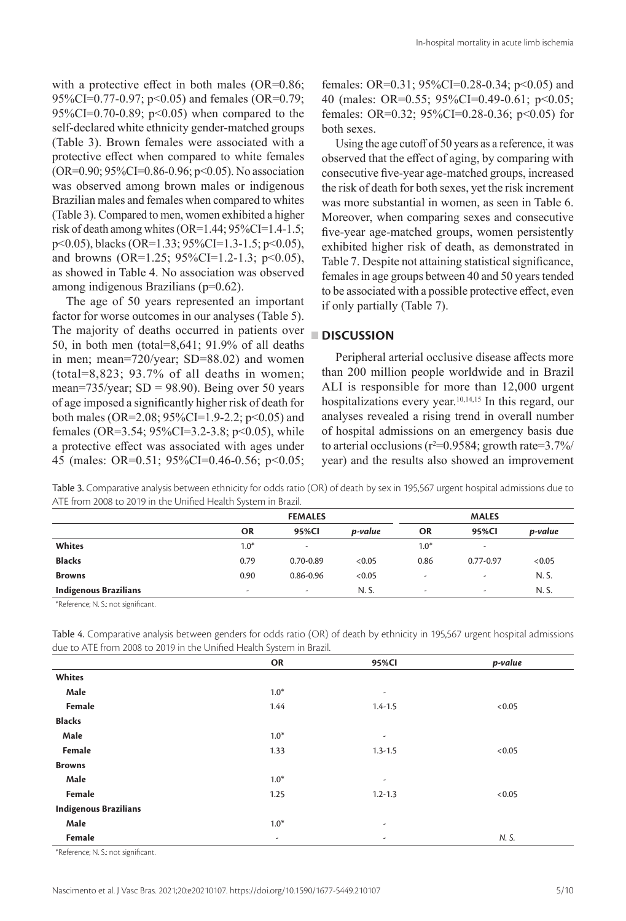with a protective effect in both males (OR=0.86; 95%CI=0.77-0.97; p<0.05) and females (OR=0.79; 95%CI=0.70-0.89;  $p<0.05$ ) when compared to the self-declared white ethnicity gender-matched groups (Table 3). Brown females were associated with a protective effect when compared to white females (OR=0.90; 95%CI=0.86-0.96; p<0.05). No association was observed among brown males or indigenous Brazilian males and females when compared to whites (Table 3). Compared to men, women exhibited a higher risk of death among whites (OR=1.44; 95%CI=1.4-1.5; p<0.05), blacks (OR=1.33; 95%CI=1.3-1.5; p<0.05), and browns (OR=1.25;  $95\%$ CI=1.2-1.3; p<0.05), as showed in Table 4. No association was observed among indigenous Brazilians (p=0.62).

The age of 50 years represented an important factor for worse outcomes in our analyses (Table 5). The majority of deaths occurred in patients over 50, in both men (total=8,641; 91.9% of all deaths in men; mean=720/year; SD=88.02) and women (total=8,823; 93.7% of all deaths in women; mean=735/year;  $SD = 98.90$ ). Being over 50 years of age imposed a significantly higher risk of death for both males (OR=2.08; 95%CI=1.9-2.2; p<0.05) and females (OR=3.54; 95%CI=3.2-3.8; p<0.05), while a protective effect was associated with ages under 45 (males: OR=0.51; 95%CI=0.46-0.56; p<0.05;

females: OR=0.31; 95%CI=0.28-0.34; p<0.05) and 40 (males: OR=0.55; 95%CI=0.49-0.61; p<0.05; females: OR=0.32; 95%CI=0.28-0.36; p<0.05) for both sexes.

Using the age cutoff of 50 years as a reference, it was observed that the effect of aging, by comparing with consecutive five-year age-matched groups, increased the risk of death for both sexes, yet the risk increment was more substantial in women, as seen in Table 6. Moreover, when comparing sexes and consecutive five-year age-matched groups, women persistently exhibited higher risk of death, as demonstrated in Table 7. Despite not attaining statistical significance, females in age groups between 40 and 50 years tended to be associated with a possible protective effect, even if only partially (Table 7).

# **DISCUSSION**

Peripheral arterial occlusive disease affects more than 200 million people worldwide and in Brazil ALI is responsible for more than 12,000 urgent hospitalizations every year.<sup>10,14,15</sup> In this regard, our analyses revealed a rising trend in overall number of hospital admissions on an emergency basis due to arterial occlusions ( $r^2=0.9584$ ; growth rate=3.7%/ year) and the results also showed an improvement

Table 3. Comparative analysis between ethnicity for odds ratio (OR) of death by sex in 195,567 urgent hospital admissions due to ATE from 2008 to 2019 in the Unified Health System in Brazil.

|                              |           | <b>FEMALES</b> |         |                          | <b>MALES</b>             |         |  |  |
|------------------------------|-----------|----------------|---------|--------------------------|--------------------------|---------|--|--|
|                              | <b>OR</b> | 95%CI          | p-value | <b>OR</b>                | 95%CI                    | p-value |  |  |
| Whites                       | $1.0*$    | ٠              |         | $1.0*$                   | $\overline{\phantom{a}}$ |         |  |  |
| <b>Blacks</b>                | 0.79      | $0.70 - 0.89$  | < 0.05  | 0.86                     | $0.77 - 0.97$            | <0.05   |  |  |
| <b>Browns</b>                | 0.90      | 0.86-0.96      | < 0.05  | ٠                        | ٠                        | N. S.   |  |  |
| <b>Indigenous Brazilians</b> | ۰         | ٠              | N. S.   | $\overline{\phantom{a}}$ | $\overline{\phantom{a}}$ | N. S.   |  |  |

\*Reference; N. S.: not significant.

| $\alpha$ and $\alpha$ is the figure to $\alpha$ and $\alpha$ is the confident field in $\alpha$ such that $\alpha$ is the $\alpha$ |        |             |         |  |  |  |  |  |
|------------------------------------------------------------------------------------------------------------------------------------|--------|-------------|---------|--|--|--|--|--|
|                                                                                                                                    | OR     | 95%Cl       | p-value |  |  |  |  |  |
| Whites                                                                                                                             |        |             |         |  |  |  |  |  |
| Male                                                                                                                               | $1.0*$ | ٠           |         |  |  |  |  |  |
| Female                                                                                                                             | 1.44   | $1.4 - 1.5$ | < 0.05  |  |  |  |  |  |
| <b>Blacks</b>                                                                                                                      |        |             |         |  |  |  |  |  |
| Male                                                                                                                               | $1.0*$ | ٠           |         |  |  |  |  |  |
| Female                                                                                                                             | 1.33   | $1.3 - 1.5$ | < 0.05  |  |  |  |  |  |
| <b>Browns</b>                                                                                                                      |        |             |         |  |  |  |  |  |
| Male                                                                                                                               | $1.0*$ | ٠           |         |  |  |  |  |  |
| Female                                                                                                                             | 1.25   | $1.2 - 1.3$ | < 0.05  |  |  |  |  |  |
| <b>Indigenous Brazilians</b>                                                                                                       |        |             |         |  |  |  |  |  |
| Male                                                                                                                               | $1.0*$ | ٠           |         |  |  |  |  |  |
| Female                                                                                                                             | ٠      | ٠           | N. S.   |  |  |  |  |  |

Table 4. Comparative analysis between genders for odds ratio (OR) of death by ethnicity in 195,567 urgent hospital admissions due to ATE from 2008 to 2019 in the Unified Health System in Brazil.

\*Reference; N. S.: not significant.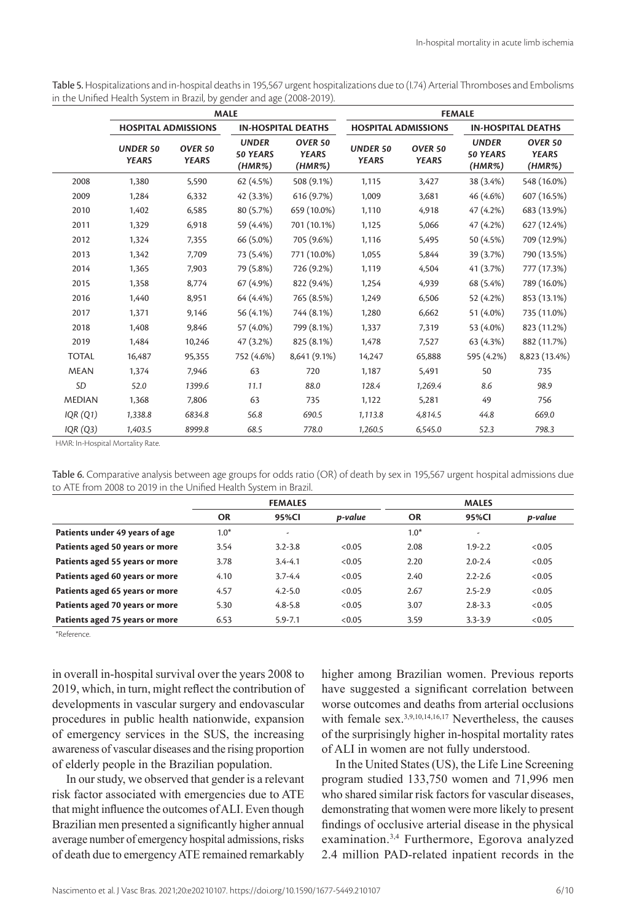| Table 5. Hospitalizations and in-hospital deaths in 195,567 urgent hospitalizations due to (1.74) Arterial Thromboses and Embolisms |  |
|-------------------------------------------------------------------------------------------------------------------------------------|--|
| in the Unified Health System in Brazil, by gender and age (2008-2019).                                                              |  |

|               |                                 |                                    | <b>MALE</b>                               |                                              | <b>FEMALE</b>                   |                                    |                                           |                                   |  |  |
|---------------|---------------------------------|------------------------------------|-------------------------------------------|----------------------------------------------|---------------------------------|------------------------------------|-------------------------------------------|-----------------------------------|--|--|
|               | <b>HOSPITAL ADMISSIONS</b>      |                                    |                                           | <b>IN-HOSPITAL DEATHS</b>                    | <b>HOSPITAL ADMISSIONS</b>      |                                    | <b>IN-HOSPITAL DEATHS</b>                 |                                   |  |  |
|               | <b>UNDER 50</b><br><b>YEARS</b> | OVER <sub>50</sub><br><b>YEARS</b> | <b>UNDER</b><br><b>50 YEARS</b><br>(HMR%) | OVER <sub>50</sub><br><b>YEARS</b><br>(HMR%) | <b>UNDER 50</b><br><b>YEARS</b> | OVER <sub>50</sub><br><b>YEARS</b> | <b>UNDER</b><br><b>50 YEARS</b><br>(HMR%) | OVER 50<br><b>YEARS</b><br>(HMR%) |  |  |
| 2008          | 1.380                           | 5.590                              | 62 (4.5%)                                 | 508 (9.1%)                                   | 1,115                           | 3.427                              | 38 (3.4%)                                 | 548 (16.0%)                       |  |  |
| 2009          | 1,284                           | 6,332                              | 42 (3.3%)                                 | 616 (9.7%)                                   | 1,009                           | 3,681                              | 46 (4.6%)                                 | 607 (16.5%)                       |  |  |
| 2010          | 1.402                           | 6,585                              | 80 (5.7%)                                 | 659 (10.0%)                                  | 1,110                           | 4,918                              | 47 (4.2%)                                 | 683 (13.9%)                       |  |  |
| 2011          | 1,329                           | 6,918                              | 59 (4.4%)                                 | 701 (10.1%)                                  | 1,125                           | 5,066                              | 47 (4.2%)                                 | 627 (12.4%)                       |  |  |
| 2012          | 1,324                           | 7,355                              | 66 (5.0%)                                 | 705 (9.6%)                                   | 1,116                           | 5,495                              | 50 (4.5%)                                 | 709 (12.9%)                       |  |  |
| 2013          | 1,342                           | 7,709                              | 73 (5.4%)                                 | 771 (10.0%)                                  | 1,055                           | 5,844                              | 39 (3.7%)                                 | 790 (13.5%)                       |  |  |
| 2014          | 1,365                           | 7,903                              | 79 (5.8%)                                 | 726 (9.2%)                                   | 1,119                           | 4,504                              | 41 (3.7%)                                 | 777 (17.3%)                       |  |  |
| 2015          | 1,358                           | 8,774                              | 67(4.9%)                                  | 822 (9.4%)                                   | 1,254                           | 4,939                              | 68 (5.4%)                                 | 789 (16.0%)                       |  |  |
| 2016          | 1,440                           | 8,951                              | 64 (4.4%)                                 | 765 (8.5%)                                   | 1,249                           | 6,506                              | 52 (4.2%)                                 | 853 (13.1%)                       |  |  |
| 2017          | 1,371                           | 9,146                              | 56 (4.1%)                                 | 744 (8.1%)                                   | 1,280                           | 6,662                              | 51 (4.0%)                                 | 735 (11.0%)                       |  |  |
| 2018          | 1,408                           | 9,846                              | 57 (4.0%)                                 | 799 (8.1%)                                   | 1,337                           | 7,319                              | 53 (4.0%)                                 | 823 (11.2%)                       |  |  |
| 2019          | 1.484                           | 10,246                             | 47 (3.2%)                                 | 825 (8.1%)                                   | 1,478                           | 7,527                              | 63 (4.3%)                                 | 882 (11.7%)                       |  |  |
| <b>TOTAL</b>  | 16,487                          | 95,355                             | 752 (4.6%)                                | 8,641 (9.1%)                                 | 14,247                          | 65,888                             | 595 (4.2%)                                | 8,823 (13.4%)                     |  |  |
| <b>MEAN</b>   | 1,374                           | 7,946                              | 63                                        | 720                                          | 1,187                           | 5,491                              | 50                                        | 735                               |  |  |
| SD            | 52.0                            | 1399.6                             | 11.1                                      | 88.0                                         | 128.4                           | 1,269.4                            | 8.6                                       | 98.9                              |  |  |
| <b>MEDIAN</b> | 1,368                           | 7.806                              | 63                                        | 735                                          | 1,122                           | 5,281                              | 49                                        | 756                               |  |  |
| IQR(Q1)       | 1,338.8                         | 6834.8                             | 56.8                                      | 690.5                                        | 1,113.8                         | 4,814.5                            | 44.8                                      | 669.0                             |  |  |
| IQR(Q3)       | 1,403.5                         | 8999.8                             | 68.5                                      | 778.0                                        | 1.260.5                         | 6,545.0                            | 52.3                                      | 798.3                             |  |  |

HMR: In-Hospital Mortality Rate.

Table 6. Comparative analysis between age groups for odds ratio (OR) of death by sex in 195,567 urgent hospital admissions due to ATE from 2008 to 2019 in the Unified Health System in Brazil.

|                                | <b>FEMALES</b> |             |         |           |                          |         |
|--------------------------------|----------------|-------------|---------|-----------|--------------------------|---------|
|                                | <b>OR</b>      | 95%CI       | p-value | <b>OR</b> | 95%CI                    | p-value |
| Patients under 49 years of age | $1.0*$         | ٠           |         | $1.0*$    | $\overline{\phantom{a}}$ |         |
| Patients aged 50 years or more | 3.54           | $3.2 - 3.8$ | < 0.05  | 2.08      | $1.9 - 2.2$              | < 0.05  |
| Patients aged 55 years or more | 3.78           | $3.4 - 4.1$ | < 0.05  | 2.20      | $2.0 - 2.4$              | < 0.05  |
| Patients aged 60 years or more | 4.10           | $3.7 - 4.4$ | < 0.05  | 2.40      | $2.2 - 2.6$              | < 0.05  |
| Patients aged 65 years or more | 4.57           | $4.2 - 5.0$ | < 0.05  | 2.67      | $2.5 - 2.9$              | < 0.05  |
| Patients aged 70 years or more | 5.30           | $4.8 - 5.8$ | < 0.05  | 3.07      | $2.8 - 3.3$              | < 0.05  |
| Patients aged 75 years or more | 6.53           | $5.9 - 7.1$ | < 0.05  | 3.59      | $3.3 - 3.9$              | < 0.05  |

\*Reference.

in overall in-hospital survival over the years 2008 to 2019, which, in turn, might reflect the contribution of developments in vascular surgery and endovascular procedures in public health nationwide, expansion of emergency services in the SUS, the increasing awareness of vascular diseases and the rising proportion of elderly people in the Brazilian population.

In our study, we observed that gender is a relevant risk factor associated with emergencies due to ATE that might influence the outcomes of ALI. Even though Brazilian men presented a significantly higher annual average number of emergency hospital admissions, risks of death due to emergency ATE remained remarkably higher among Brazilian women. Previous reports have suggested a significant correlation between worse outcomes and deaths from arterial occlusions with female sex.<sup>3,9,10,14,16,17</sup> Nevertheless, the causes of the surprisingly higher in-hospital mortality rates of ALI in women are not fully understood.

In the United States (US), the Life Line Screening program studied 133,750 women and 71,996 men who shared similar risk factors for vascular diseases, demonstrating that women were more likely to present findings of occlusive arterial disease in the physical examination.3,4 Furthermore, Egorova analyzed 2.4 million PAD-related inpatient records in the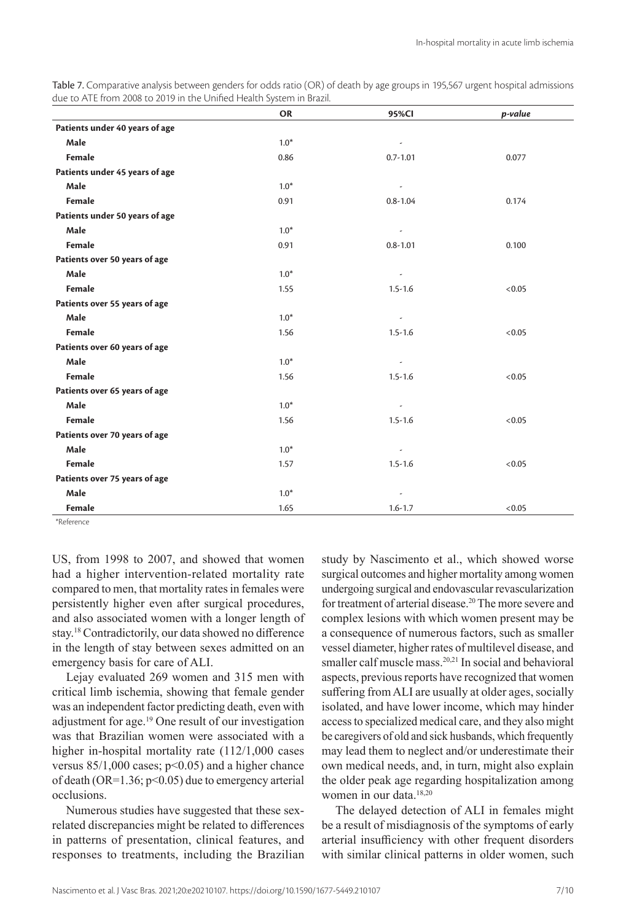| Table 7. Comparative analysis between genders for odds ratio (OR) of death by age groups in 195,567 urgent hospital admissions |  |
|--------------------------------------------------------------------------------------------------------------------------------|--|
| due to ATE from 2008 to 2019 in the Unified Health System in Brazil.                                                           |  |

|                                | <b>OR</b> | 95%Cl                    | p-value |
|--------------------------------|-----------|--------------------------|---------|
| Patients under 40 years of age |           |                          |         |
| Male                           | $1.0*$    | $\overline{\phantom{a}}$ |         |
| Female                         | 0.86      | $0.7 - 1.01$             | 0.077   |
| Patients under 45 years of age |           |                          |         |
| Male                           | $1.0*$    |                          |         |
| Female                         | 0.91      | $0.8 - 1.04$             | 0.174   |
| Patients under 50 years of age |           |                          |         |
| Male                           | $1.0*$    |                          |         |
| Female                         | 0.91      | $0.8 - 1.01$             | 0.100   |
| Patients over 50 years of age  |           |                          |         |
| Male                           | $1.0*$    | $\overline{\phantom{a}}$ |         |
| Female                         | 1.55      | $1.5 - 1.6$              | < 0.05  |
| Patients over 55 years of age  |           |                          |         |
| Male                           | $1.0*$    | $\overline{\phantom{a}}$ |         |
| Female                         | 1.56      | $1.5 - 1.6$              | < 0.05  |
| Patients over 60 years of age  |           |                          |         |
| Male                           | $1.0*$    | $\overline{\phantom{a}}$ |         |
| Female                         | 1.56      | $1.5 - 1.6$              | < 0.05  |
| Patients over 65 years of age  |           |                          |         |
| Male                           | $1.0*$    | ٠                        |         |
| Female                         | 1.56      | $1.5 - 1.6$              | < 0.05  |
| Patients over 70 years of age  |           |                          |         |
| Male                           | $1.0*$    | $\overline{\phantom{a}}$ |         |
| Female                         | 1.57      | $1.5 - 1.6$              | < 0.05  |
| Patients over 75 years of age  |           |                          |         |
| Male                           | $1.0*$    |                          |         |
| Female                         | 1.65      | $1.6 - 1.7$              | < 0.05  |

\*Reference

US, from 1998 to 2007, and showed that women had a higher intervention-related mortality rate compared to men, that mortality rates in females were persistently higher even after surgical procedures, and also associated women with a longer length of stay.18 Contradictorily, our data showed no difference in the length of stay between sexes admitted on an emergency basis for care of ALI.

Lejay evaluated 269 women and 315 men with critical limb ischemia, showing that female gender was an independent factor predicting death, even with adjustment for age.19 One result of our investigation was that Brazilian women were associated with a higher in-hospital mortality rate (112/1,000 cases versus  $85/1,000$  cases;  $p<0.05$ ) and a higher chance of death (OR= $1.36$ ; p<0.05) due to emergency arterial occlusions.

Numerous studies have suggested that these sexrelated discrepancies might be related to differences in patterns of presentation, clinical features, and responses to treatments, including the Brazilian

study by Nascimento et al., which showed worse surgical outcomes and higher mortality among women undergoing surgical and endovascular revascularization for treatment of arterial disease.<sup>20</sup> The more severe and complex lesions with which women present may be a consequence of numerous factors, such as smaller vessel diameter, higher rates of multilevel disease, and smaller calf muscle mass.<sup>20,21</sup> In social and behavioral aspects, previous reports have recognized that women suffering from ALI are usually at older ages, socially isolated, and have lower income, which may hinder access to specialized medical care, and they also might be caregivers of old and sick husbands, which frequently may lead them to neglect and/or underestimate their own medical needs, and, in turn, might also explain the older peak age regarding hospitalization among women in our data.<sup>18,20</sup>

The delayed detection of ALI in females might be a result of misdiagnosis of the symptoms of early arterial insufficiency with other frequent disorders with similar clinical patterns in older women, such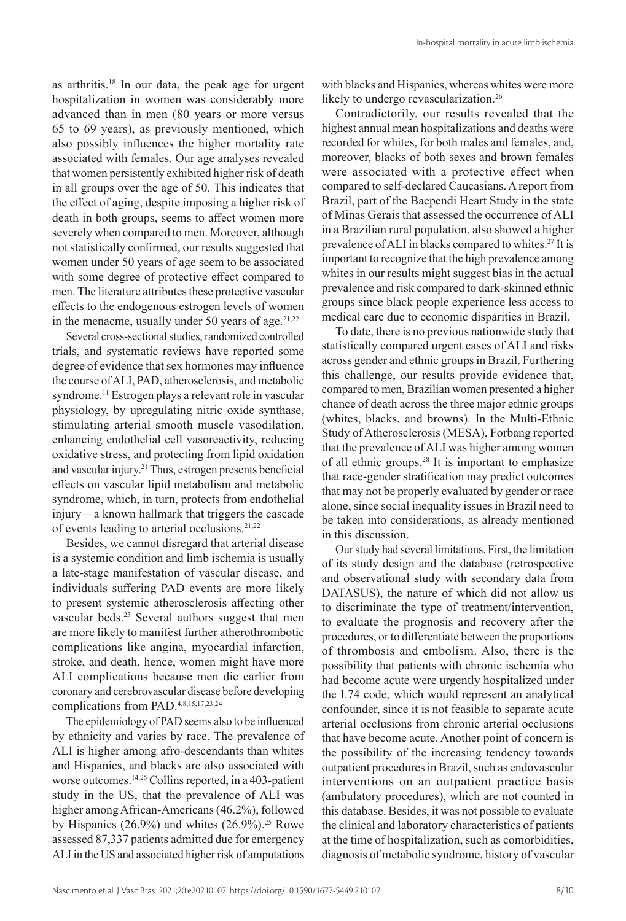as arthritis.18 In our data, the peak age for urgent hospitalization in women was considerably more advanced than in men (80 years or more versus 65 to 69 years), as previously mentioned, which also possibly influences the higher mortality rate associated with females. Our age analyses revealed that women persistently exhibited higher risk of death in all groups over the age of 50. This indicates that the effect of aging, despite imposing a higher risk of death in both groups, seems to affect women more severely when compared to men. Moreover, although not statistically confirmed, our results suggested that women under 50 years of age seem to be associated with some degree of protective effect compared to men. The literature attributes these protective vascular effects to the endogenous estrogen levels of women in the menacme, usually under 50 years of age.  $2^{1,22}$ 

Several cross-sectional studies, randomized controlled trials, and systematic reviews have reported some degree of evidence that sex hormones may influence the course of ALI, PAD, atherosclerosis, and metabolic syndrome.11 Estrogen plays a relevant role in vascular physiology, by upregulating nitric oxide synthase, stimulating arterial smooth muscle vasodilation, enhancing endothelial cell vasoreactivity, reducing oxidative stress, and protecting from lipid oxidation and vascular injury.<sup>21</sup> Thus, estrogen presents beneficial effects on vascular lipid metabolism and metabolic syndrome, which, in turn, protects from endothelial injury – a known hallmark that triggers the cascade of events leading to arterial occlusions.21,22

Besides, we cannot disregard that arterial disease is a systemic condition and limb ischemia is usually a late-stage manifestation of vascular disease, and individuals suffering PAD events are more likely to present systemic atherosclerosis affecting other vascular beds.23 Several authors suggest that men are more likely to manifest further atherothrombotic complications like angina, myocardial infarction, stroke, and death, hence, women might have more ALI complications because men die earlier from coronary and cerebrovascular disease before developing complications from PAD.4,8,15,17,23,24

The epidemiology of PAD seems also to be influenced by ethnicity and varies by race. The prevalence of ALI is higher among afro-descendants than whites and Hispanics, and blacks are also associated with worse outcomes.<sup>14,25</sup> Collins reported, in a 403-patient study in the US, that the prevalence of ALI was higher among African-Americans (46.2%), followed by Hispanics  $(26.9\%)$  and whites  $(26.9\%)$ .<sup>25</sup> Rowe assessed 87,337 patients admitted due for emergency ALI in the US and associated higher risk of amputations

with blacks and Hispanics, whereas whites were more likely to undergo revascularization.<sup>26</sup>

Contradictorily, our results revealed that the highest annual mean hospitalizations and deaths were recorded for whites, for both males and females, and, moreover, blacks of both sexes and brown females were associated with a protective effect when compared to self-declared Caucasians. A report from Brazil, part of the Baependi Heart Study in the state of Minas Gerais that assessed the occurrence of ALI in a Brazilian rural population, also showed a higher prevalence of ALI in blacks compared to whites.<sup>27</sup> It is important to recognize that the high prevalence among whites in our results might suggest bias in the actual prevalence and risk compared to dark-skinned ethnic groups since black people experience less access to medical care due to economic disparities in Brazil.

To date, there is no previous nationwide study that statistically compared urgent cases of ALI and risks across gender and ethnic groups in Brazil. Furthering this challenge, our results provide evidence that, compared to men, Brazilian women presented a higher chance of death across the three major ethnic groups (whites, blacks, and browns). In the Multi-Ethnic Study of Atherosclerosis (MESA), Forbang reported that the prevalence of ALI was higher among women of all ethnic groups.<sup>28</sup> It is important to emphasize that race-gender stratification may predict outcomes that may not be properly evaluated by gender or race alone, since social inequality issues in Brazil need to be taken into considerations, as already mentioned in this discussion.

Our study had several limitations. First, the limitation of its study design and the database (retrospective and observational study with secondary data from DATASUS), the nature of which did not allow us to discriminate the type of treatment/intervention, to evaluate the prognosis and recovery after the procedures, or to differentiate between the proportions of thrombosis and embolism. Also, there is the possibility that patients with chronic ischemia who had become acute were urgently hospitalized under the I.74 code, which would represent an analytical confounder, since it is not feasible to separate acute arterial occlusions from chronic arterial occlusions that have become acute. Another point of concern is the possibility of the increasing tendency towards outpatient procedures in Brazil, such as endovascular interventions on an outpatient practice basis (ambulatory procedures), which are not counted in this database. Besides, it was not possible to evaluate the clinical and laboratory characteristics of patients at the time of hospitalization, such as comorbidities, diagnosis of metabolic syndrome, history of vascular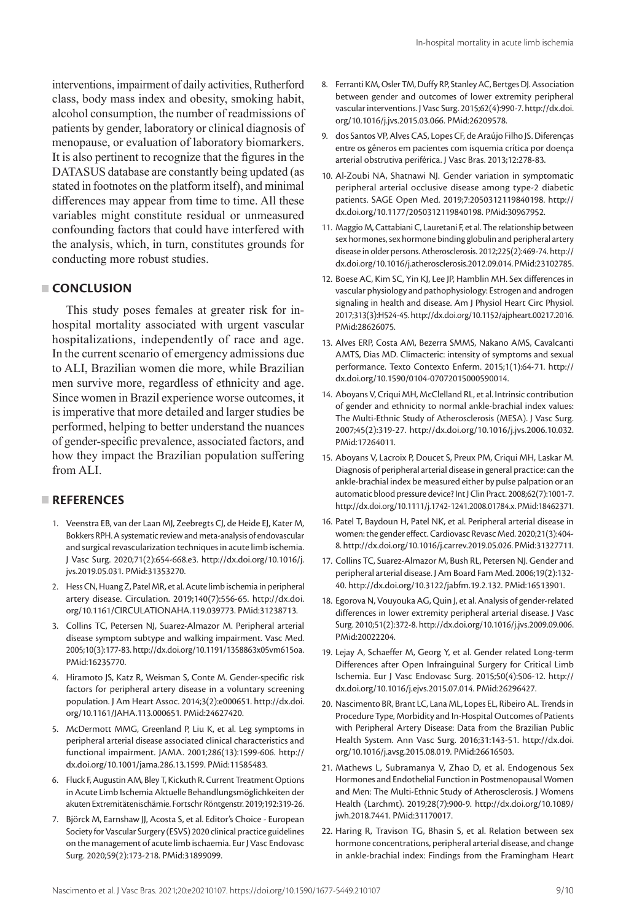interventions, impairment of daily activities, Rutherford class, body mass index and obesity, smoking habit, alcohol consumption, the number of readmissions of patients by gender, laboratory or clinical diagnosis of menopause, or evaluation of laboratory biomarkers. It is also pertinent to recognize that the figures in the DATASUS database are constantly being updated (as stated in footnotes on the platform itself), and minimal differences may appear from time to time. All these variables might constitute residual or unmeasured confounding factors that could have interfered with the analysis, which, in turn, constitutes grounds for conducting more robust studies.

### **CONCLUSION**

This study poses females at greater risk for inhospital mortality associated with urgent vascular hospitalizations, independently of race and age. In the current scenario of emergency admissions due to ALI, Brazilian women die more, while Brazilian men survive more, regardless of ethnicity and age. Since women in Brazil experience worse outcomes, it is imperative that more detailed and larger studies be performed, helping to better understand the nuances of gender-specific prevalence, associated factors, and how they impact the Brazilian population suffering from ALI.

# **REFERENCES**

- 1. Veenstra EB, van der Laan MJ, Zeebregts CJ, de Heide EJ, Kater M, Bokkers RPH. A systematic review and meta-analysis of endovascular and surgical revascularization techniques in acute limb ischemia. J Vasc Surg. 2020;71(2):654-668.e3. [http://dx.doi.org/10.1016/j.](https://doi.org/10.1016/j.jvs.2019.05.031) [jvs.2019.05.031](https://doi.org/10.1016/j.jvs.2019.05.031). [PMid:31353270.](https://www.ncbi.nlm.nih.gov/entrez/query.fcgi?cmd=Retrieve&db=PubMed&list_uids=31353270&dopt=Abstract)
- 2. Hess CN, Huang Z, Patel MR, et al. Acute limb ischemia in peripheral artery disease. Circulation. 2019;140(7):556-65. [http://dx.doi.](https://doi.org/10.1161/CIRCULATIONAHA.119.039773) [org/10.1161/CIRCULATIONAHA.119.039773](https://doi.org/10.1161/CIRCULATIONAHA.119.039773)[. PMid:31238713.](https://www.ncbi.nlm.nih.gov/entrez/query.fcgi?cmd=Retrieve&db=PubMed&list_uids=31238713&dopt=Abstract)
- 3. Collins TC, Petersen NJ, Suarez-Almazor M. Peripheral arterial disease symptom subtype and walking impairment. Vasc Med. 2005;10(3):177-83. [http://dx.doi.org/10.1191/1358863x05vm615oa.](https://doi.org/10.1191/1358863x05vm615oa) [PMid:16235770.](https://www.ncbi.nlm.nih.gov/entrez/query.fcgi?cmd=Retrieve&db=PubMed&list_uids=16235770&dopt=Abstract)
- 4. Hiramoto JS, Katz R, Weisman S, Conte M. Gender-specific risk factors for peripheral artery disease in a voluntary screening population. J Am Heart Assoc. 2014;3(2):e000651. [http://dx.doi.](https://doi.org/10.1161/JAHA.113.000651) [org/10.1161/JAHA.113.000651.](https://doi.org/10.1161/JAHA.113.000651) [PMid:24627420.](https://www.ncbi.nlm.nih.gov/entrez/query.fcgi?cmd=Retrieve&db=PubMed&list_uids=24627420&dopt=Abstract)
- 5. McDermott MMG, Greenland P, Liu K, et al. Leg symptoms in peripheral arterial disease associated clinical characteristics and functional impairment. JAMA. 2001;286(13):1599-606. [http://](https://doi.org/10.1001/jama.286.13.1599) [dx.doi.org/10.1001/jama.286.13.1599](https://doi.org/10.1001/jama.286.13.1599). [PMid:11585483.](https://www.ncbi.nlm.nih.gov/entrez/query.fcgi?cmd=Retrieve&db=PubMed&list_uids=11585483&dopt=Abstract)
- 6. Fluck F, Augustin AM, Bley T, Kickuth R. Current Treatment Options in Acute Limb Ischemia Aktuelle Behandlungsmöglichkeiten der akuten Extremitätenischämie. Fortschr Röntgenstr. 2019;192:319-26.
- 7. Björck M, Earnshaw JJ, Acosta S, et al. Editor's Choice European Society for Vascular Surgery (ESVS) 2020 clinical practice guidelines on the management of acute limb ischaemia. Eur J Vasc Endovasc Surg. 2020;59(2):173-218. [PMid:31899099.](https://www.ncbi.nlm.nih.gov/entrez/query.fcgi?cmd=Retrieve&db=PubMed&list_uids=31899099&dopt=Abstract)
- 8. Ferranti KM, Osler TM, Duffy RP, Stanley AC, Bertges DJ. Association between gender and outcomes of lower extremity peripheral vascular interventions. J Vasc Surg. 2015;62(4):990-7. [http://dx.doi.](https://doi.org/10.1016/j.jvs.2015.03.066) [org/10.1016/j.jvs.2015.03.066.](https://doi.org/10.1016/j.jvs.2015.03.066) [PMid:26209578.](https://www.ncbi.nlm.nih.gov/entrez/query.fcgi?cmd=Retrieve&db=PubMed&list_uids=26209578&dopt=Abstract)
- 9. dos Santos VP, Alves CAS, Lopes CF, de Araújo Filho JS. Diferenças entre os gêneros em pacientes com isquemia crítica por doença arterial obstrutiva periférica. J Vasc Bras. 2013;12:278-83.
- 10. Al-Zoubi NA, Shatnawi NJ. Gender variation in symptomatic peripheral arterial occlusive disease among type-2 diabetic patients. SAGE Open Med. 2019;7:2050312119840198. [http://](https://doi.org/10.1177/2050312119840198) [dx.doi.org/10.1177/2050312119840198.](https://doi.org/10.1177/2050312119840198) [PMid:30967952.](https://www.ncbi.nlm.nih.gov/entrez/query.fcgi?cmd=Retrieve&db=PubMed&list_uids=30967952&dopt=Abstract)
- 11. Maggio M, Cattabiani C, Lauretani F, et al. The relationship between sex hormones, sex hormone binding globulin and peripheral artery disease in older persons. Atherosclerosis. 2012;225(2):469-74. [http://](https://doi.org/10.1016/j.atherosclerosis.2012.09.014) [dx.doi.org/10.1016/j.atherosclerosis.2012.09.014](https://doi.org/10.1016/j.atherosclerosis.2012.09.014)[. PMid:23102785.](https://www.ncbi.nlm.nih.gov/entrez/query.fcgi?cmd=Retrieve&db=PubMed&list_uids=23102785&dopt=Abstract)
- 12. Boese AC, Kim SC, Yin KJ, Lee JP, Hamblin MH. Sex differences in vascular physiology and pathophysiology: Estrogen and androgen signaling in health and disease. Am J Physiol Heart Circ Physiol. 2017;313(3):H524-45. [http://dx.doi.org/10.1152/ajpheart.00217.2016](https://doi.org/10.1152/ajpheart.00217.2016). [PMid:28626075.](https://www.ncbi.nlm.nih.gov/entrez/query.fcgi?cmd=Retrieve&db=PubMed&list_uids=28626075&dopt=Abstract)
- 13. Alves ERP, Costa AM, Bezerra SMMS, Nakano AMS, Cavalcanti AMTS, Dias MD. Climacteric: intensity of symptoms and sexual performance. Texto Contexto Enferm. 2015;1(1):64-71. [http://](https://doi.org/10.1590/0104-07072015000590014) [dx.doi.org/10.1590/0104-07072015000590014.](https://doi.org/10.1590/0104-07072015000590014)
- 14. Aboyans V, Criqui MH, McClelland RL, et al. Intrinsic contribution of gender and ethnicity to normal ankle-brachial index values: The Multi-Ethnic Study of Atherosclerosis (MESA). J Vasc Surg. 2007;45(2):319-27. [http://dx.doi.org/10.1016/j.jvs.2006.10.032](https://doi.org/10.1016/j.jvs.2006.10.032). [PMid:17264011.](https://www.ncbi.nlm.nih.gov/entrez/query.fcgi?cmd=Retrieve&db=PubMed&list_uids=17264011&dopt=Abstract)
- 15. Aboyans V, Lacroix P, Doucet S, Preux PM, Criqui MH, Laskar M. Diagnosis of peripheral arterial disease in general practice: can the ankle-brachial index be measured either by pulse palpation or an automatic blood pressure device? Int J Clin Pract. 2008;62(7):1001-7. [http://dx.doi.org/10.1111/j.1742-1241.2008.01784.x.](https://doi.org/10.1111/j.1742-1241.2008.01784.x) [PMid:18462371.](https://www.ncbi.nlm.nih.gov/entrez/query.fcgi?cmd=Retrieve&db=PubMed&list_uids=18462371&dopt=Abstract)
- 16. Patel T, Baydoun H, Patel NK, et al. Peripheral arterial disease in women: the gender effect. Cardiovasc Revasc Med. 2020;21(3):404- 8. [http://dx.doi.org/10.1016/j.carrev.2019.05.026](https://doi.org/10.1016/j.carrev.2019.05.026)[. PMid:31327711.](https://www.ncbi.nlm.nih.gov/entrez/query.fcgi?cmd=Retrieve&db=PubMed&list_uids=31327711&dopt=Abstract)
- 17. Collins TC, Suarez-Almazor M, Bush RL, Petersen NJ. Gender and peripheral arterial disease. J Am Board Fam Med. 2006;19(2):132- 40. [http://dx.doi.org/10.3122/jabfm.19.2.132.](https://doi.org/10.3122/jabfm.19.2.132) [PMid:16513901.](https://www.ncbi.nlm.nih.gov/entrez/query.fcgi?cmd=Retrieve&db=PubMed&list_uids=16513901&dopt=Abstract)
- 18. Egorova N, Vouyouka AG, Quin J, et al. Analysis of gender-related differences in lower extremity peripheral arterial disease. J Vasc Surg. 2010;51(2):372-8. [http://dx.doi.org/10.1016/j.jvs.2009.09.006](https://doi.org/10.1016/j.jvs.2009.09.006). [PMid:20022204.](https://www.ncbi.nlm.nih.gov/entrez/query.fcgi?cmd=Retrieve&db=PubMed&list_uids=20022204&dopt=Abstract)
- 19. Lejay A, Schaeffer M, Georg Y, et al. Gender related Long-term Differences after Open Infrainguinal Surgery for Critical Limb Ischemia. Eur J Vasc Endovasc Surg. 2015;50(4):506-12. [http://](https://doi.org/10.1016/j.ejvs.2015.07.014) [dx.doi.org/10.1016/j.ejvs.2015.07.014](https://doi.org/10.1016/j.ejvs.2015.07.014). [PMid:26296427.](https://www.ncbi.nlm.nih.gov/entrez/query.fcgi?cmd=Retrieve&db=PubMed&list_uids=26296427&dopt=Abstract)
- 20. Nascimento BR, Brant LC, Lana ML, Lopes EL, Ribeiro AL. Trends in Procedure Type, Morbidity and In-Hospital Outcomes of Patients with Peripheral Artery Disease: Data from the Brazilian Public Health System. Ann Vasc Surg. 2016;31:143-51. [http://dx.doi.](https://doi.org/10.1016/j.avsg.2015.08.019) [org/10.1016/j.avsg.2015.08.019](https://doi.org/10.1016/j.avsg.2015.08.019)[. PMid:26616503.](https://www.ncbi.nlm.nih.gov/entrez/query.fcgi?cmd=Retrieve&db=PubMed&list_uids=26616503&dopt=Abstract)
- 21. Mathews L, Subramanya V, Zhao D, et al. Endogenous Sex Hormones and Endothelial Function in Postmenopausal Women and Men: The Multi-Ethnic Study of Atherosclerosis. J Womens Health (Larchmt). 2019;28(7):900-9. [http://dx.doi.org/10.1089/](https://doi.org/10.1089/jwh.2018.7441) [jwh.2018.7441](https://doi.org/10.1089/jwh.2018.7441)[. PMid:31170017.](https://www.ncbi.nlm.nih.gov/entrez/query.fcgi?cmd=Retrieve&db=PubMed&list_uids=31170017&dopt=Abstract)
- 22. Haring R, Travison TG, Bhasin S, et al. Relation between sex hormone concentrations, peripheral arterial disease, and change in ankle-brachial index: Findings from the Framingham Heart